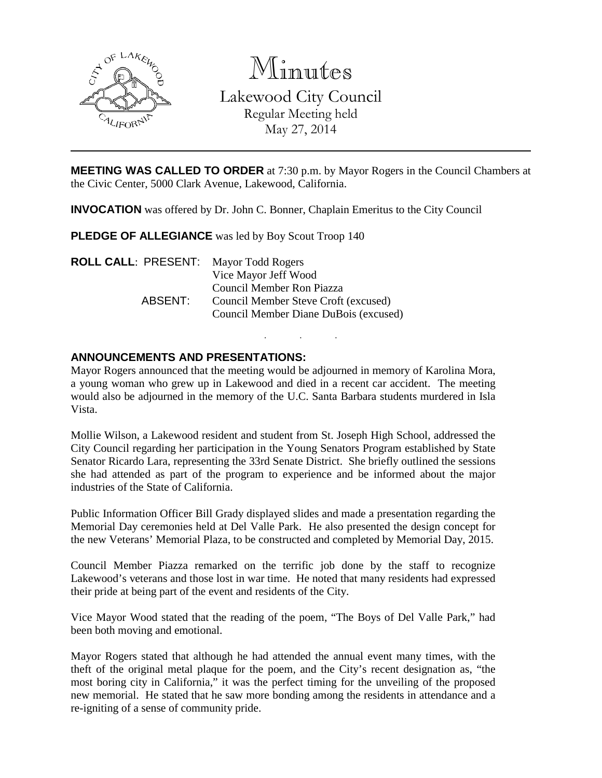

Minutes

Lakewood City Council Regular Meeting held May 27, 2014

**MEETING WAS CALLED TO ORDER** at 7:30 p.m. by Mayor Rogers in the Council Chambers at the Civic Center, 5000 Clark Avenue, Lakewood, California.

**INVOCATION** was offered by Dr. John C. Bonner, Chaplain Emeritus to the City Council

**PLEDGE OF ALLEGIANCE** was led by Boy Scout Troop 140

| <b>ROLL CALL: PRESENT:</b> Mayor Todd Rogers |                                       |
|----------------------------------------------|---------------------------------------|
|                                              | Vice Mayor Jeff Wood                  |
|                                              | Council Member Ron Piazza             |
| ABSENT:                                      | Council Member Steve Croft (excused)  |
|                                              | Council Member Diane DuBois (excused) |

# **ANNOUNCEMENTS AND PRESENTATIONS:**

Mayor Rogers announced that the meeting would be adjourned in memory of Karolina Mora, a young woman who grew up in Lakewood and died in a recent car accident. The meeting would also be adjourned in the memory of the U.C. Santa Barbara students murdered in Isla Vista.

. . .

Mollie Wilson, a Lakewood resident and student from St. Joseph High School, addressed the City Council regarding her participation in the Young Senators Program established by State Senator Ricardo Lara, representing the 33rd Senate District. She briefly outlined the sessions she had attended as part of the program to experience and be informed about the major industries of the State of California.

Public Information Officer Bill Grady displayed slides and made a presentation regarding the Memorial Day ceremonies held at Del Valle Park. He also presented the design concept for the new Veterans' Memorial Plaza, to be constructed and completed by Memorial Day, 2015.

Council Member Piazza remarked on the terrific job done by the staff to recognize Lakewood's veterans and those lost in war time. He noted that many residents had expressed their pride at being part of the event and residents of the City.

Vice Mayor Wood stated that the reading of the poem, "The Boys of Del Valle Park," had been both moving and emotional.

Mayor Rogers stated that although he had attended the annual event many times, with the theft of the original metal plaque for the poem, and the City's recent designation as, "the most boring city in California," it was the perfect timing for the unveiling of the proposed new memorial. He stated that he saw more bonding among the residents in attendance and a re-igniting of a sense of community pride.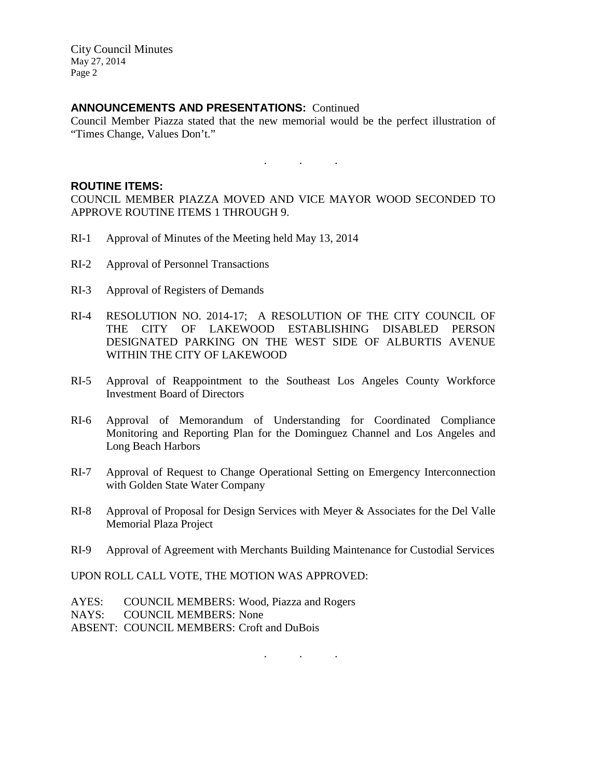### **ANNOUNCEMENTS AND PRESENTATIONS:** Continued

Council Member Piazza stated that the new memorial would be the perfect illustration of "Times Change, Values Don't."

 $\mathbf{r}$  .  $\mathbf{r}$  ,  $\mathbf{r}$  ,  $\mathbf{r}$  ,  $\mathbf{r}$  ,  $\mathbf{r}$  ,  $\mathbf{r}$  ,

#### **ROUTINE ITEMS:**

COUNCIL MEMBER PIAZZA MOVED AND VICE MAYOR WOOD SECONDED TO APPROVE ROUTINE ITEMS 1 THROUGH 9.

- RI-1 Approval of Minutes of the Meeting held May 13, 2014
- RI-2 Approval of Personnel Transactions
- RI-3 Approval of Registers of Demands
- RI-4 RESOLUTION NO. 2014-17; A RESOLUTION OF THE CITY COUNCIL OF THE CITY OF LAKEWOOD ESTABLISHING DISABLED PERSON DESIGNATED PARKING ON THE WEST SIDE OF ALBURTIS AVENUE WITHIN THE CITY OF LAKEWOOD
- RI-5 Approval of Reappointment to the Southeast Los Angeles County Workforce Investment Board of Directors
- RI-6 Approval of Memorandum of Understanding for Coordinated Compliance Monitoring and Reporting Plan for the Dominguez Channel and Los Angeles and Long Beach Harbors
- RI-7 Approval of Request to Change Operational Setting on Emergency Interconnection with Golden State Water Company
- RI-8 Approval of Proposal for Design Services with Meyer & Associates for the Del Valle Memorial Plaza Project
- RI-9 Approval of Agreement with Merchants Building Maintenance for Custodial Services

. . .

UPON ROLL CALL VOTE, THE MOTION WAS APPROVED:

- AYES: COUNCIL MEMBERS: Wood, Piazza and Rogers
- NAYS: COUNCIL MEMBERS: None
- ABSENT: COUNCIL MEMBERS: Croft and DuBois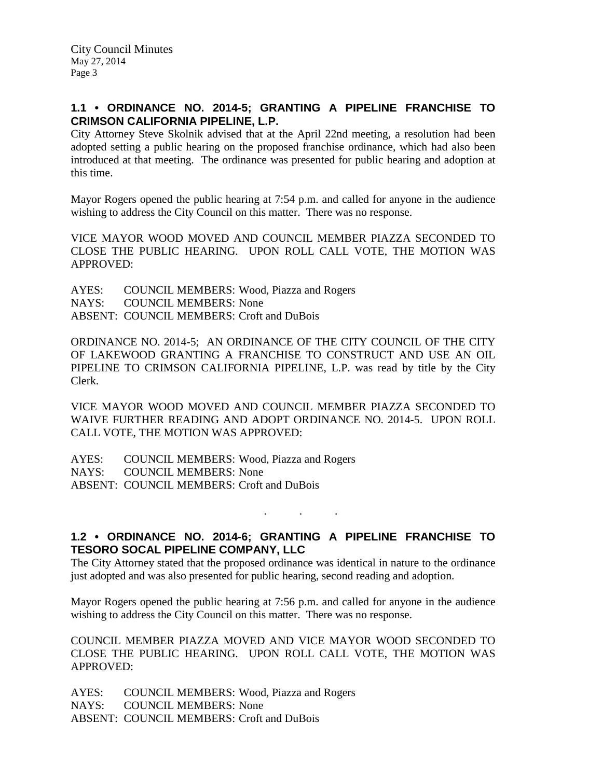# **1.1 • ORDINANCE NO. 2014-5; GRANTING A PIPELINE FRANCHISE TO CRIMSON CALIFORNIA PIPELINE, L.P.**

City Attorney Steve Skolnik advised that at the April 22nd meeting, a resolution had been adopted setting a public hearing on the proposed franchise ordinance, which had also been introduced at that meeting. The ordinance was presented for public hearing and adoption at this time.

Mayor Rogers opened the public hearing at 7:54 p.m. and called for anyone in the audience wishing to address the City Council on this matter. There was no response.

VICE MAYOR WOOD MOVED AND COUNCIL MEMBER PIAZZA SECONDED TO CLOSE THE PUBLIC HEARING. UPON ROLL CALL VOTE, THE MOTION WAS APPROVED:

AYES: COUNCIL MEMBERS: Wood, Piazza and Rogers NAYS: COUNCIL MEMBERS: None ABSENT: COUNCIL MEMBERS: Croft and DuBois

ORDINANCE NO. 2014-5; AN ORDINANCE OF THE CITY COUNCIL OF THE CITY OF LAKEWOOD GRANTING A FRANCHISE TO CONSTRUCT AND USE AN OIL PIPELINE TO CRIMSON CALIFORNIA PIPELINE, L.P. was read by title by the City Clerk.

VICE MAYOR WOOD MOVED AND COUNCIL MEMBER PIAZZA SECONDED TO WAIVE FURTHER READING AND ADOPT ORDINANCE NO. 2014-5. UPON ROLL CALL VOTE, THE MOTION WAS APPROVED:

AYES: COUNCIL MEMBERS: Wood, Piazza and Rogers NAYS: COUNCIL MEMBERS: None ABSENT: COUNCIL MEMBERS: Croft and DuBois

# **1.2 • ORDINANCE NO. 2014-6; GRANTING A PIPELINE FRANCHISE TO TESORO SOCAL PIPELINE COMPANY, LLC**

. . .

The City Attorney stated that the proposed ordinance was identical in nature to the ordinance just adopted and was also presented for public hearing, second reading and adoption.

Mayor Rogers opened the public hearing at 7:56 p.m. and called for anyone in the audience wishing to address the City Council on this matter. There was no response.

COUNCIL MEMBER PIAZZA MOVED AND VICE MAYOR WOOD SECONDED TO CLOSE THE PUBLIC HEARING. UPON ROLL CALL VOTE, THE MOTION WAS APPROVED:

AYES: COUNCIL MEMBERS: Wood, Piazza and Rogers NAYS: COUNCIL MEMBERS: None ABSENT: COUNCIL MEMBERS: Croft and DuBois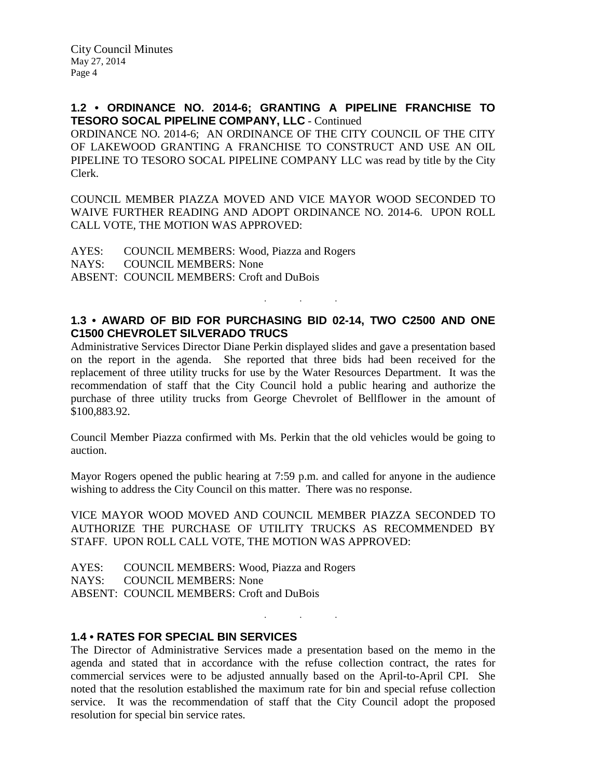**1.2 • ORDINANCE NO. 2014-6; GRANTING A PIPELINE FRANCHISE TO TESORO SOCAL PIPELINE COMPANY, LLC** - Continued

ORDINANCE NO. 2014-6; AN ORDINANCE OF THE CITY COUNCIL OF THE CITY OF LAKEWOOD GRANTING A FRANCHISE TO CONSTRUCT AND USE AN OIL PIPELINE TO TESORO SOCAL PIPELINE COMPANY LLC was read by title by the City Clerk.

COUNCIL MEMBER PIAZZA MOVED AND VICE MAYOR WOOD SECONDED TO WAIVE FURTHER READING AND ADOPT ORDINANCE NO. 2014-6. UPON ROLL CALL VOTE, THE MOTION WAS APPROVED:

AYES: COUNCIL MEMBERS: Wood, Piazza and Rogers NAYS: COUNCIL MEMBERS: None ABSENT: COUNCIL MEMBERS: Croft and DuBois

# **1.3 • AWARD OF BID FOR PURCHASING BID 02-14, TWO C2500 AND ONE C1500 CHEVROLET SILVERADO TRUCS**

. . .

Administrative Services Director Diane Perkin displayed slides and gave a presentation based on the report in the agenda. She reported that three bids had been received for the replacement of three utility trucks for use by the Water Resources Department. It was the recommendation of staff that the City Council hold a public hearing and authorize the purchase of three utility trucks from George Chevrolet of Bellflower in the amount of \$100,883.92.

Council Member Piazza confirmed with Ms. Perkin that the old vehicles would be going to auction.

Mayor Rogers opened the public hearing at 7:59 p.m. and called for anyone in the audience wishing to address the City Council on this matter. There was no response.

VICE MAYOR WOOD MOVED AND COUNCIL MEMBER PIAZZA SECONDED TO AUTHORIZE THE PURCHASE OF UTILITY TRUCKS AS RECOMMENDED BY STAFF. UPON ROLL CALL VOTE, THE MOTION WAS APPROVED:

AYES: COUNCIL MEMBERS: Wood, Piazza and Rogers NAYS: COUNCIL MEMBERS: None ABSENT: COUNCIL MEMBERS: Croft and DuBois

### **1.4 • RATES FOR SPECIAL BIN SERVICES**

The Director of Administrative Services made a presentation based on the memo in the agenda and stated that in accordance with the refuse collection contract, the rates for commercial services were to be adjusted annually based on the April-to-April CPI. She noted that the resolution established the maximum rate for bin and special refuse collection service. It was the recommendation of staff that the City Council adopt the proposed resolution for special bin service rates.

. . .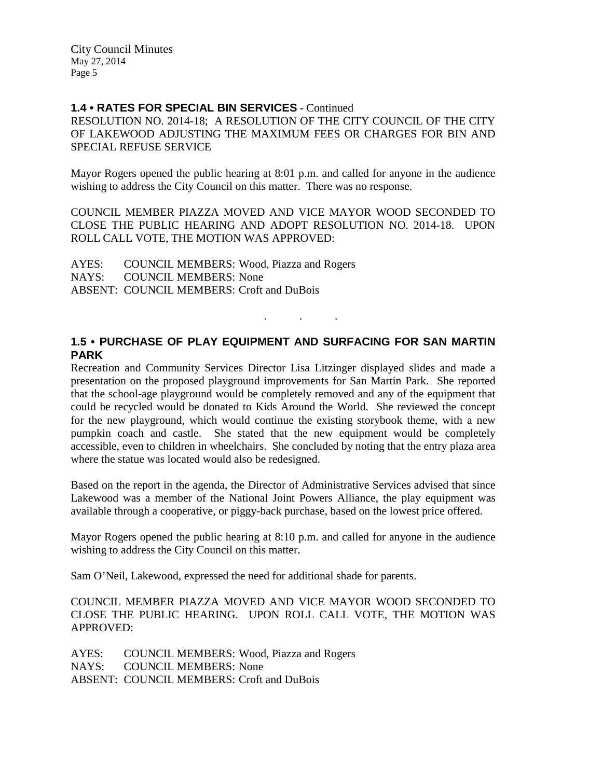# **1.4 • RATES FOR SPECIAL BIN SERVICES** - Continued

RESOLUTION NO. 2014-18; A RESOLUTION OF THE CITY COUNCIL OF THE CITY OF LAKEWOOD ADJUSTING THE MAXIMUM FEES OR CHARGES FOR BIN AND SPECIAL REFUSE SERVICE

Mayor Rogers opened the public hearing at 8:01 p.m. and called for anyone in the audience wishing to address the City Council on this matter. There was no response.

COUNCIL MEMBER PIAZZA MOVED AND VICE MAYOR WOOD SECONDED TO CLOSE THE PUBLIC HEARING AND ADOPT RESOLUTION NO. 2014-18. UPON ROLL CALL VOTE, THE MOTION WAS APPROVED:

AYES: COUNCIL MEMBERS: Wood, Piazza and Rogers NAYS: COUNCIL MEMBERS: None ABSENT: COUNCIL MEMBERS: Croft and DuBois

# **1.5 • PURCHASE OF PLAY EQUIPMENT AND SURFACING FOR SAN MARTIN PARK**

. . .

Recreation and Community Services Director Lisa Litzinger displayed slides and made a presentation on the proposed playground improvements for San Martin Park. She reported that the school-age playground would be completely removed and any of the equipment that could be recycled would be donated to Kids Around the World. She reviewed the concept for the new playground, which would continue the existing storybook theme, with a new pumpkin coach and castle. She stated that the new equipment would be completely accessible, even to children in wheelchairs. She concluded by noting that the entry plaza area where the statue was located would also be redesigned.

Based on the report in the agenda, the Director of Administrative Services advised that since Lakewood was a member of the National Joint Powers Alliance, the play equipment was available through a cooperative, or piggy-back purchase, based on the lowest price offered.

Mayor Rogers opened the public hearing at 8:10 p.m. and called for anyone in the audience wishing to address the City Council on this matter.

Sam O'Neil, Lakewood, expressed the need for additional shade for parents.

### COUNCIL MEMBER PIAZZA MOVED AND VICE MAYOR WOOD SECONDED TO CLOSE THE PUBLIC HEARING. UPON ROLL CALL VOTE, THE MOTION WAS APPROVED:

AYES: COUNCIL MEMBERS: Wood, Piazza and Rogers NAYS: COUNCIL MEMBERS: None ABSENT: COUNCIL MEMBERS: Croft and DuBois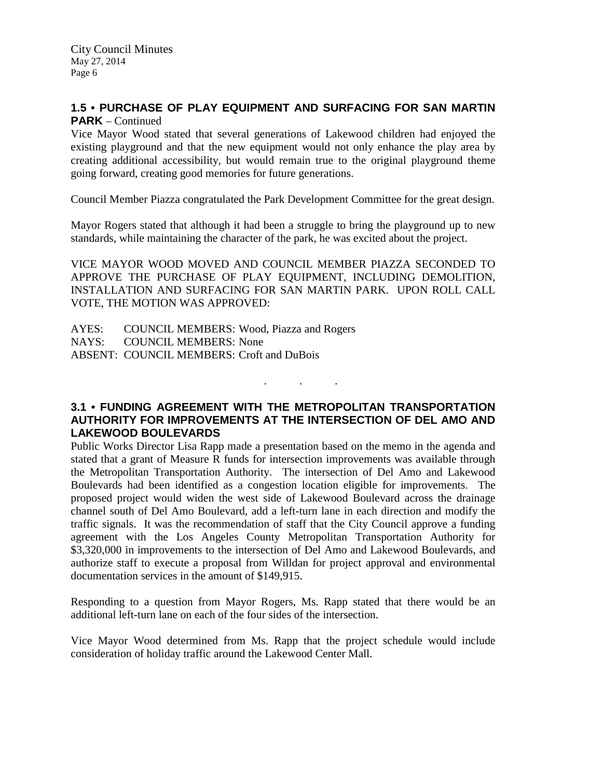### **1.5 • PURCHASE OF PLAY EQUIPMENT AND SURFACING FOR SAN MARTIN PARK** – Continued

Vice Mayor Wood stated that several generations of Lakewood children had enjoyed the existing playground and that the new equipment would not only enhance the play area by creating additional accessibility, but would remain true to the original playground theme going forward, creating good memories for future generations.

Council Member Piazza congratulated the Park Development Committee for the great design.

Mayor Rogers stated that although it had been a struggle to bring the playground up to new standards, while maintaining the character of the park, he was excited about the project.

VICE MAYOR WOOD MOVED AND COUNCIL MEMBER PIAZZA SECONDED TO APPROVE THE PURCHASE OF PLAY EQUIPMENT, INCLUDING DEMOLITION, INSTALLATION AND SURFACING FOR SAN MARTIN PARK. UPON ROLL CALL VOTE, THE MOTION WAS APPROVED:

AYES: COUNCIL MEMBERS: Wood, Piazza and Rogers NAYS: COUNCIL MEMBERS: None ABSENT: COUNCIL MEMBERS: Croft and DuBois

### **3.1 • FUNDING AGREEMENT WITH THE METROPOLITAN TRANSPORTATION AUTHORITY FOR IMPROVEMENTS AT THE INTERSECTION OF DEL AMO AND LAKEWOOD BOULEVARDS**

. . .

Public Works Director Lisa Rapp made a presentation based on the memo in the agenda and stated that a grant of Measure R funds for intersection improvements was available through the Metropolitan Transportation Authority. The intersection of Del Amo and Lakewood Boulevards had been identified as a congestion location eligible for improvements. The proposed project would widen the west side of Lakewood Boulevard across the drainage channel south of Del Amo Boulevard, add a left-turn lane in each direction and modify the traffic signals. It was the recommendation of staff that the City Council approve a funding agreement with the Los Angeles County Metropolitan Transportation Authority for \$3,320,000 in improvements to the intersection of Del Amo and Lakewood Boulevards, and authorize staff to execute a proposal from Willdan for project approval and environmental documentation services in the amount of \$149,915.

Responding to a question from Mayor Rogers, Ms. Rapp stated that there would be an additional left-turn lane on each of the four sides of the intersection.

Vice Mayor Wood determined from Ms. Rapp that the project schedule would include consideration of holiday traffic around the Lakewood Center Mall.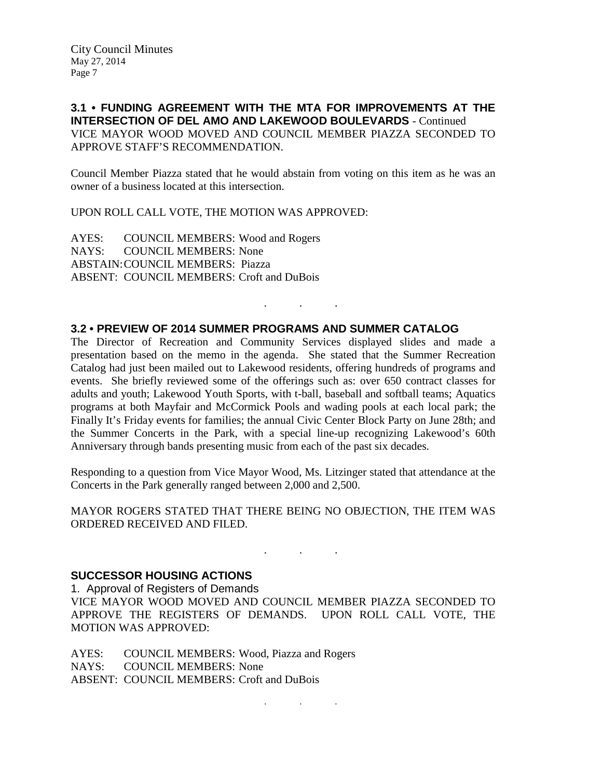**3.1 • FUNDING AGREEMENT WITH THE MTA FOR IMPROVEMENTS AT THE INTERSECTION OF DEL AMO AND LAKEWOOD BOULEVARDS** - Continued VICE MAYOR WOOD MOVED AND COUNCIL MEMBER PIAZZA SECONDED TO APPROVE STAFF'S RECOMMENDATION.

Council Member Piazza stated that he would abstain from voting on this item as he was an owner of a business located at this intersection.

UPON ROLL CALL VOTE, THE MOTION WAS APPROVED:

AYES: COUNCIL MEMBERS: Wood and Rogers NAYS: COUNCIL MEMBERS: None ABSTAIN:COUNCIL MEMBERS: Piazza ABSENT: COUNCIL MEMBERS: Croft and DuBois

#### **3.2 • PREVIEW OF 2014 SUMMER PROGRAMS AND SUMMER CATALOG**

The Director of Recreation and Community Services displayed slides and made a presentation based on the memo in the agenda. She stated that the Summer Recreation Catalog had just been mailed out to Lakewood residents, offering hundreds of programs and events. She briefly reviewed some of the offerings such as: over 650 contract classes for adults and youth; Lakewood Youth Sports, with t-ball, baseball and softball teams; Aquatics programs at both Mayfair and McCormick Pools and wading pools at each local park; the Finally It's Friday events for families; the annual Civic Center Block Party on June 28th; and the Summer Concerts in the Park, with a special line-up recognizing Lakewood's 60th Anniversary through bands presenting music from each of the past six decades.

. . .

Responding to a question from Vice Mayor Wood, Ms. Litzinger stated that attendance at the Concerts in the Park generally ranged between 2,000 and 2,500.

MAYOR ROGERS STATED THAT THERE BEING NO OBJECTION, THE ITEM WAS ORDERED RECEIVED AND FILED.

. As we have the set of  $\mathcal{A}$  , and  $\mathcal{A}$ 

#### **SUCCESSOR HOUSING ACTIONS**

1. Approval of Registers of Demands VICE MAYOR WOOD MOVED AND COUNCIL MEMBER PIAZZA SECONDED TO APPROVE THE REGISTERS OF DEMANDS. UPON ROLL CALL VOTE, THE MOTION WAS APPROVED:

AYES: COUNCIL MEMBERS: Wood, Piazza and Rogers NAYS: COUNCIL MEMBERS: None ABSENT: COUNCIL MEMBERS: Croft and DuBois

. . .